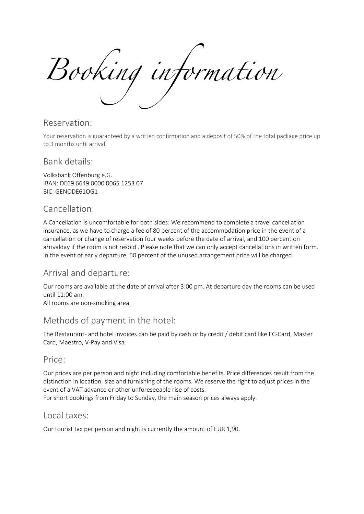Booking information

#### Reservation:

Your reservation is guaranteed by a written confirmation and a deposit of 50% of the total package price up to 3 months until arrival.

#### Bank details:

Volksbank Offenburg e.G. IBAN: DE69 6649 0000 0065 1253 07 BIC: GENODE61OG1

### Cancellation:

A Cancellation is uncomfortable for both sides: We recommend to complete a travel cancellation insurance, as we have to charge a fee of 80 percent of the accommodation price in the event of a cancellation or change of reservation four weeks before the date of arrival, and 100 percent on arrivalday if the room is not resold . Please note that we can only accept cancellations in written form. In the event of early departure, 50 percent of the unused arrangement price will be charged.

## Arrival and departure:

Our rooms are available at the date of arrival after 3:00 pm. At departure day the rooms can be used until 11:00 am.

All rooms are non-smoking area.

## Methods of payment in the hotel:

The Restaurant- and hotel invoices can be paid by cash or by credit / debit card like EC-Card, Master Card, Maestro, V-Pay and Visa.

#### Price:

Our prices are per person and night including comfortable benefits. Price differences result from the distinction in location, size and furnishing of the rooms. We reserve the right to adjust prices in the event of a VAT advance or other unforeseeable rise of costs. For short bookings from Friday to Sunday, the main season prices always apply.

#### Local taxes:

Our tourist tax per person and night is currently the amount of EUR 1,90.